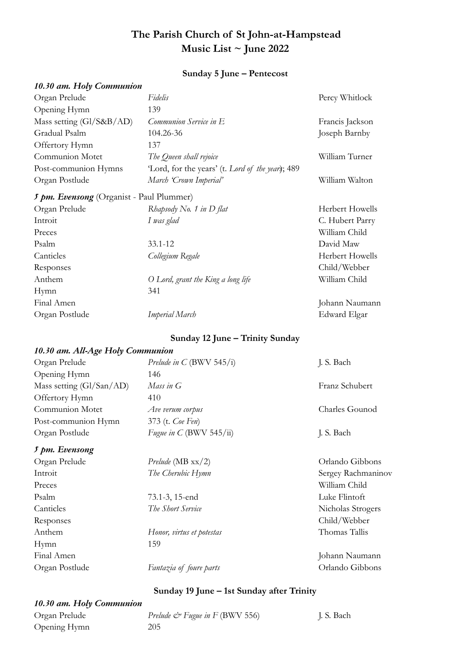# **The Parish Church of St John-at-Hampstead Music List ~ June 2022**

#### **Sunday 5 June – Pentecost**

## *10.30 am. Holy Communion*

| Organ Prelude                                   | Fidelis                                          | Percy Whitlock  |
|-------------------------------------------------|--------------------------------------------------|-----------------|
| Opening Hymn                                    | 139                                              |                 |
| Mass setting (Gl/S&B/AD)                        | Communion Service in E                           | Francis Jackson |
| Gradual Psalm                                   | 104.26-36                                        | Joseph Barnby   |
| Offertory Hymn                                  | 137                                              |                 |
| Communion Motet                                 | The Queen shall rejoice                          | William Turner  |
| Post-communion Hymns                            | 'Lord, for the years' (t. Lord of the year); 489 |                 |
| Organ Postlude                                  | March 'Crown Imperial'                           | William Walton  |
| <i>J pm. Evensong</i> (Organist - Paul Plummer) |                                                  |                 |
| Organ Prelude                                   | Rhapsody No. 1 in D flat                         | Herbert Howells |
| Introit                                         | I was glad                                       | C. Hubert Parry |
| Preces                                          |                                                  | William Child   |
| Psalm                                           | $33.1 - 12$                                      | David Maw       |
| Canticles                                       | Collegium Regale                                 | Herbert Howells |
| Responses                                       |                                                  | Child/Webber    |
| Anthem                                          | O Lord, grant the King a long life               | William Child   |
| Hymn                                            | 341                                              |                 |
| Final Amen                                      |                                                  | Johann Naumann  |
| Organ Postlude                                  | <b>Imperial March</b>                            | Edward Elgar    |

## **Sunday 12 June – Trinity Sunday**

### *10.30 am. All-Age Holy Communion*

| Organ Prelude                        | Prelude in C (BWV 545/i) | J. S. Bach     |
|--------------------------------------|--------------------------|----------------|
| Opening Hymn                         | 146                      |                |
| Mass setting $(Gl/San/AD)$           | Mass in $G$              | Franz Schubert |
| Offertory Hymn                       | 410                      |                |
| Communion Motet                      | Ave verum corpus         | Charles Gounod |
| Post-communion Hymn                  | 373 (t. Coe Fen)         |                |
| Organ Postlude                       | Fugue in C (BWV 545/ii)  | J. S. Bach     |
| $L_{\text{max}}$ $L_{\text{maxmax}}$ |                          |                |

#### *5 pm. Evensong*

| Organ Prelude  | Prelude (MB $xx/2$ )      | Orlando Gibbons    |
|----------------|---------------------------|--------------------|
| Introit        | The Cherubic Hymn         | Sergey Rachmaninov |
| Preces         |                           | William Child      |
| Psalm          | 73.1-3, 15-end            | Luke Flintoft      |
| Canticles      | The Short Service         | Nicholas Strogers  |
| Responses      |                           | Child/Webber       |
| Anthem         | Honor, virtus et potestas | Thomas Tallis      |
| Hymn           | 159                       |                    |
| Final Amen     |                           | Johann Naumann     |
| Organ Postlude | Fantazia of foure parts   | Orlando Gibbons    |

## **Sunday 19 June – 1st Sunday after Trinity**

## *10.30 am. Holy Communion*

Opening Hymn 205

# Organ Prelude *Prelude*  $\mathcal{O}^*$  *Fugue in F* (BWV 556) J. S. Bach